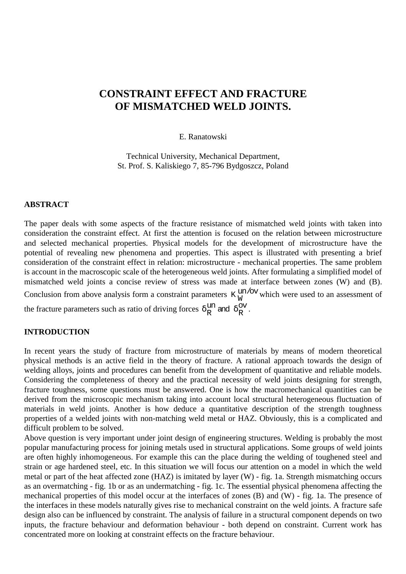# **CONSTRAINT EFFECT AND FRACTURE OF MISMATCHED WELD JOINTS.**

### E. Ranatowski

Technical University, Mechanical Department, St. Prof. S. Kaliskiego 7, 85-796 Bydgoszcz, Poland

### **ABSTRACT**

The paper deals with some aspects of the fracture resistance of mismatched weld joints with taken into consideration the constraint effect. At first the attention is focused on the relation between microstructure and selected mechanical properties. Physical models for the development of microstructure have the potential of revealing new phenomena and properties. This aspect is illustrated with presenting a brief consideration of the constraint effect in relation: microstructure - mechanical properties. The same problem is account in the macroscopic scale of the heterogeneous weld joints. After formulating a simplified model of mismatched weld joints a concise review of stress was made at interface between zones (W) and (B). Conclusion from above analysis form a constraint parameters  $K_W^{un/ov}$  which were used to an assessment of the fracture parameters such as ratio of driving forces  $\delta_R^{\text{un}}$  and  $\delta_R^{\text{ov}}$ .

### **INTRODUCTION**

In recent years the study of fracture from microstructure of materials by means of modern theoretical physical methods is an active field in the theory of fracture. A rational approach towards the design of welding alloys, joints and procedures can benefit from the development of quantitative and reliable models. Considering the completeness of theory and the practical necessity of weld joints designing for strength, fracture toughness, some questions must be answered. One is how the macromechanical quantities can be derived from the microscopic mechanism taking into account local structural heterogeneous fluctuation of materials in weld joints. Another is how deduce a quantitative description of the strength toughness properties of a welded joints with non-matching weld metal or HAZ. Obviously, this is a complicated and difficult problem to be solved.

Above question is very important under joint design of engineering structures. Welding is probably the most popular manufacturing process for joining metals used in structural applications. Some groups of weld joints are often highly inhomogeneous. For example this can the place during the welding of toughened steel and strain or age hardened steel, etc. In this situation we will focus our attention on a model in which the weld metal or part of the heat affected zone (HAZ) is imitated by layer (W) - fig. 1a. Strength mismatching occurs as an overmatching - fig. 1b or as an undermatching - fig. 1c. The essential physical phenomena affecting the mechanical properties of this model occur at the interfaces of zones (B) and (W) - fig. 1a. The presence of the interfaces in these models naturally gives rise to mechanical constraint on the weld joints. A fracture safe design also can be influenced by constraint. The analysis of failure in a structural component depends on two inputs, the fracture behaviour and deformation behaviour - both depend on constraint. Current work has concentrated more on looking at constraint effects on the fracture behaviour.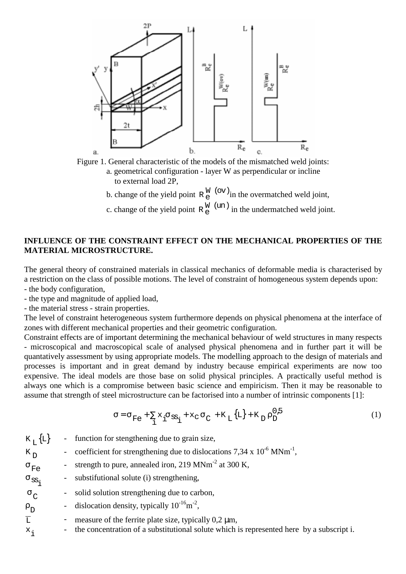



b. change of the yield point  $R_e^W$  (ov) in the overmatched weld joint,

c. change of the yield point  $R_e^W$  (un) in the undermatched weld joint.

## **INFLUENCE OF THE CONSTRAINT EFFECT ON THE MECHANICAL PROPERTIES OF THE MATERIAL MICROSTRUCTURE.**

The general theory of constrained materials in classical mechanics of deformable media is characterised by a restriction on the class of possible motions. The level of constraint of homogeneous system depends upon: - the body configuration,

- the type and magnitude of applied load,

- the material stress - strain properties.

The level of constraint heterogeneous system furthermore depends on physical phenomena at the interface of zones with different mechanical properties and their geometric configuration.

Constraint effects are of important determining the mechanical behaviour of weld structures in many respects - microscopical and macroscopical scale of analysed physical phenomena and in further part it will be quantatively assessment by using appropriate models. The modelling approach to the design of materials and processes is important and in great demand by industry because empirical experiments are now too expensive. The ideal models are those base on solid physical principles. A practically useful method is always one which is a compromise between basic science and empiricism. Then it may be reasonable to assume that strength of steel microstructure can be factorised into a number of intrinsic components [1]:

$$
\sigma = \sigma_{\rm Fe} + \sum_{i} x_i \sigma_{\rm ss_i} + x_{\rm C} \sigma_{\rm C} + K_{\rm L} {\{\rm L\}} + K_{\rm D} \rho_{\rm D}^{0.5}
$$
 (1)

| $K_{\tau}$ {L}         | $\sim$ | function for stengthening due to grain size,                                               |
|------------------------|--------|--------------------------------------------------------------------------------------------|
| $K_{D}$                |        | coefficient for strengthening due to dislocations 7,34 x $10^{-6}$ MNm <sup>-1</sup> ,     |
| $\sigma$ <sub>Fe</sub> |        | - strength to pure, annealed iron, $219 \text{ MNm}^{-2}$ at 300 K,                        |
| $\sigma_{\rm s}$       |        | - substitutional solute (i) strengthening,                                                 |
| $\sigma_{\rm C}$       |        | solid solution strengthening due to carbon,                                                |
| $\rho D$               |        | - dislocation density, typically $10^{-16}$ m <sup>-2</sup> ,                              |
| $\overline{L}$         |        | measure of the ferrite plate size, typically $0.2 \mu m$ ,                                 |
| $x_i$                  |        | - the concentration of a substitutional solute which is represented here by a subscript i. |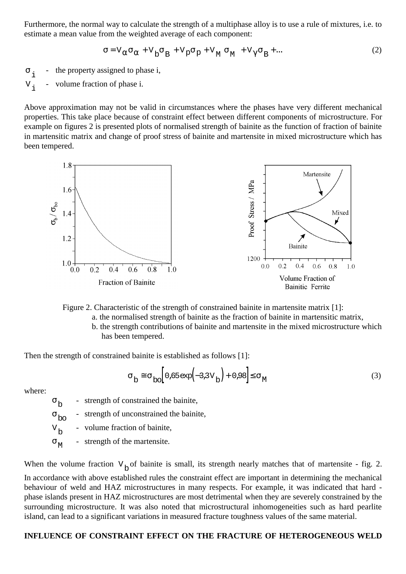Furthermore, the normal way to calculate the strength of a multiphase alloy is to use a rule of mixtures, i.e. to estimate a mean value from the weighted average of each component:

$$
\sigma = V_{\alpha}\sigma_{\alpha} + V_{\beta}\sigma_{\beta} + V_{\beta}\sigma_{\beta} + V_{\gamma}\sigma_{\beta} + \cdots
$$
 (2)

 $\sigma_i$  - the property assigned to phase i,  $V_i$  - volume fraction of phase i.

Above approximation may not be valid in circumstances where the phases have very different mechanical properties. This take place because of constraint effect between different components of microstructure. For example on figures 2 is presented plots of normalised strength of bainite as the function of fraction of bainite in martensitic matrix and change of proof stress of bainite and martensite in mixed microstructure which has been tempered.



Figure 2. Characteristic of the strength of constrained bainite in martensite matrix [1]:

- a. the normalised strength of bainite as the fraction of bainite in martensitic matrix,
	- b. the strength contributions of bainite and martensite in the mixed microstructure which has been tempered.

Then the strength of constrained bainite is established as follows [1]:

$$
\sigma_{\rm b} \approx \sigma_{\rm bo} \Big[ 0.65 \exp(-3.3 \text{V}_{\rm b}) + 0.98 \Big] \le \sigma_{\rm M} \tag{3}
$$

where:

 $\sigma_{\text{L}}$  - strength of constrained the bainite,

 $\sigma_{\rm bo}$  - strength of unconstrained the bainite,

 $V<sub>b</sub>$  - volume fraction of bainite,

 $\sigma_{\text{M}}$  - strength of the martensite.

When the volume fraction  $V_b$  of bainite is small, its strength nearly matches that of martensite - fig. 2. In accordance with above established rules the constraint effect are important in determining the mechanical behaviour of weld and HAZ microstructures in many respects. For example, it was indicated that hard phase islands present in HAZ microstructures are most detrimental when they are severely constrained by the surrounding microstructure. It was also noted that microstructural inhomogeneities such as hard pearlite island, can lead to a significant variations in measured fracture toughness values of the same material.

# **INFLUENCE OF CONSTRAINT EFFECT ON THE FRACTURE OF HETEROGENEOUS WELD**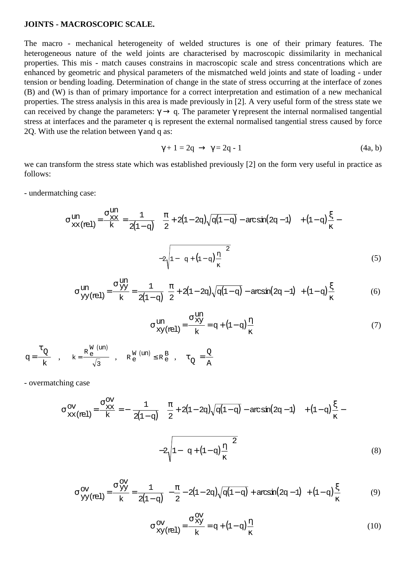### **JOINTS - MACROSCOPIC SCALE.**

The macro - mechanical heterogeneity of welded structures is one of their primary features. The heterogeneous nature of the weld joints are characterised by macroscopic dissimilarity in mechanical properties. This mis - match causes constrains in macroscopic scale and stress concentrations which are enhanced by geometric and physical parameters of the mismatched weld joints and state of loading - under tension or bending loading. Determination of change in the state of stress occurring at the interface of zones (B) and (W) is than of primary importance for a correct interpretation and estimation of a new mechanical properties. The stress analysis in this area is made previously in [2]. A very useful form of the stress state we can received by change the parameters:  $\gamma \rightarrow q$ . The parameter  $\gamma$  represent the internal normalised tangential stress at interfaces and the parameter q is represent the external normalised tangential stress caused by force 20. With use the relation between  $\gamma$  and q as:

$$
\gamma + 1 = 2q \rightarrow \gamma = 2q - 1 \tag{4a, b}
$$

we can transform the stress state which was established previously [2] on the form very useful in practice as follows:

- undermatching case:

$$
\sigma_{\text{XX(rel)}}^{\text{un}} = \frac{\sigma_{\text{XX}}^{\text{un}}}{k} = \frac{1}{2(1-q)} \left[ \left( \frac{\pi}{2} + 2(1-2q)\sqrt{q(1-q)} - \arcsin(2q-1) \right) \right] + (1-q)\frac{\xi}{\kappa} - 2\sqrt{1 - \left( q + (1-q)\frac{\eta}{\kappa} \right)^2}
$$
\n(5)

$$
\sigma_{YY(\text{rel})}^{\text{un}} = \frac{\sigma_{YY}^{\text{un}}}{k} = \frac{1}{2(1-q)} \left[ \frac{\pi}{2} + 2(1-2q)\sqrt{q(1-q)} - \arcsin(2q-1) \right] + (1-q)\frac{\xi}{\kappa}
$$
(6)

$$
\sigma \frac{\text{un}}{\text{xy}(\text{rel})} = \frac{\sigma \frac{\text{un}}{\text{xy}}}{\text{k}} = q + (1 - q) \frac{\eta}{\kappa} \tag{7}
$$

$$
q\!=\!\frac{\tau_Q}{k}\quad,\qquad k\!=\!\frac{\text{R}_{\,e}^{\,\text{W}\,\,\left(\text{un}\right)}}{\sqrt{3}}\quad,\quad \text{R}_{\,e}^{\,\text{W}\,\,\left(\text{un}\right)}\!\leq\!\text{R}_{\,e}^{\,B}\quad,\quad \tau_Q^{\phantom{z}}\!=\!\frac{Q}{A}
$$

- overmatching case

$$
\sigma_{\text{XX}(rel)}^{\text{OV}} = \frac{\sigma_{\text{XX}}^{\text{OV}}}{k} = -\left[\frac{1}{2(1-q)} \left[ \left(\frac{\pi}{2} + 2(1-2q)\sqrt{q(1-q)} - \arcsin(2q-1) \right) \right] + (1-q)\frac{\xi}{\kappa} - 2\sqrt{1 - \left(q + (1-q)\frac{\eta}{\kappa}\right)^2}\right]
$$
\n(8)

$$
\sigma_{YY(\text{rel})}^{\text{OV}} = \frac{\sigma_{YY}^{\text{OV}}}{k} = \frac{1}{2(1-q)} \left[ -\frac{\pi}{2} - 2(1-2q)\sqrt{q(1-q)} + \arcsin(2q-1) \right] + (1-q)\frac{\xi}{\kappa}
$$
(9)

$$
\sigma_{xy(\text{rel})}^{\text{OV}} = \frac{\sigma_{xy}^{\text{OV}}}{k} = q + (1 - q)\frac{\eta}{\kappa}
$$
 (10)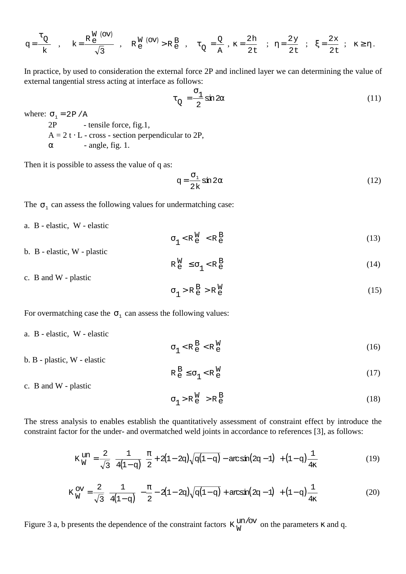$$
q\!=\!\frac{\tau_Q}{k}\quad,\quad k\!=\!\frac{R\!\!\! \stackrel{W}{e}\!\!\! \stackrel{(ov)}{-}}{\sqrt{3}}\;\;,\quad R\!\!\! \stackrel{W}{e}\!\!\! \stackrel{(ov)}{-\!\!\!>R}\!\!\! \stackrel{B}{e}\!\!\! \stackrel{}}{\sqrt{2}}\;\;,\quad \tau_Q=\!\!\frac{Q}{A}\;\;,\; \kappa=\!\frac{2h}{2t}\quad;\quad \eta=\!\frac{2\gamma}{2t}\;\;;\quad \xi=\!\frac{2x}{2t}\;\;;\quad \kappa\!\geq\!\eta\,.
$$

In practice, by used to consideration the external force 2P and inclined layer we can determining the value of external tangential stress acting at interface as follows:

$$
\tau_{Q} = \frac{\sigma_{1}}{2} \sin 2\alpha \tag{11}
$$

where:  $\sigma_1 = 2P/A$ 2P - tensile force, fig.1,  $A = 2t \cdot L$  - cross - section perpendicular to 2P,

 $\alpha$  - angle, fig. 1.

Then it is possible to assess the value of q as:

$$
q = \frac{\sigma_1}{2k} \sin 2\alpha \tag{12}
$$

The  $\sigma_1$  can assess the following values for undermatching case:

a. B - elastic, W - elastic

$$
\sigma_1 < R_e^W < R_e^B \tag{13}
$$

b. B - elastic, W - plastic

$$
\mathbf{R}_{\mathbf{e}}^{\mathbf{W}} \leq \sigma_1 < \mathbf{R}_{\mathbf{e}}^{\mathbf{B}} \tag{14}
$$

c. B and W - plastic

$$
\sigma_1 > R_e^B > R_e^W \tag{15}
$$

For overmatching case the  $\sigma_1$  can assess the following values:

- a. B elastic, W elastic
- $\sigma_1$  < R  $_{\rm e}^{\rm B}$  < R  $_{\rm e}^{\rm W}$  $\overset{\mathsf{W}}{\mathsf{e}}$  (16)
- b. B plastic, W elastic

$$
R_e^B \le \sigma_1 < R_e^W \tag{17}
$$

c. B and W - plastic

$$
\sigma_1 > R_e^W > R_e^B \tag{18}
$$

The stress analysis to enables establish the quantitatively assessment of constraint effect by introduce the constraint factor for the under- and overmatched weld joints in accordance to references [3], as follows:

$$
K_{W}^{un} = \frac{2}{\sqrt{3}} \left( \frac{1}{4(1-q)} \left[ \frac{\pi}{2} + 2(1-2q)\sqrt{q(1-q)} - \arcsin(2q-1) \right] + (1-q)\frac{1}{4\kappa} \right) \tag{19}
$$

$$
K_{W}^{ov} = \frac{2}{\sqrt{3}} \left( \frac{1}{4(1-q)} \left[ -\frac{\pi}{2} - 2(1-2q)\sqrt{q(1-q)} + \arcsin(2q-1) \right] + (1-q)\frac{1}{4\kappa} \right) \tag{20}
$$

Figure 3 a, b presents the dependence of the constraint factors  $K_W^{\text{un/ov}}$  on the parameters  $\kappa$  and q.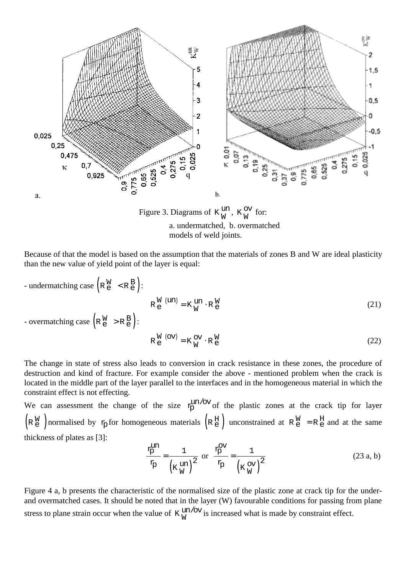

Figure 3. Diagrams of  $K_W^{\text{un}}, K_W^{\text{ov}}$  for: a. undermatched, b. overmatched models of weld joints.

Because of that the model is based on the assumption that the materials of zones B and W are ideal plasticity than the new value of yield point of the layer is equal:

- undermatching case 
$$
(R_e^W \le R_e^B)
$$
:  
\n $R_e^W \text{ (un)} = K_W^W \cdot R_e^W$   
\n- overmatching case  $(R_e^W > R_e^B)$ :  
\n $R_e^W \text{ (ov)} = K_W^W \cdot R_e^W$  (21)  
\n $R_e^W \text{ (ov)} = K_W^W \cdot R_e^W$  (22)

The change in state of stress also leads to conversion in crack resistance in these zones, the procedure of destruction and kind of fracture. For example consider the above - mentioned problem when the crack is located in the middle part of the layer parallel to the interfaces and in the homogeneous material in which the constraint effect is not effecting.

We can assessment the change of the size  $x_{p}^{\text{un/ov}}$  of the plastic zones at the crack tip for layer  $\left( R \frac{W}{e} \right)$  normalised by  $\frac{1}{P}$  for homogeneous materials  $\left( R \frac{H}{e} \right)$  unconstrained at  $R \frac{W}{e} = R \frac{H}{e}$  and at the same thickness of plates as [3]:

$$
\frac{r_{\rm p}^{\rm un}}{r_{\rm p}} = \frac{1}{\left(\kappa \frac{\rm un}{\rm w}\right)^2} \text{ or } \frac{r_{\rm p}^{\rm ov}}{r_{\rm p}} = \frac{1}{\left(\kappa \frac{\rm ov}{\rm w}\right)^2} \tag{23 a, b}
$$

Figure 4 a, b presents the characteristic of the normalised size of the plastic zone at crack tip for the underand overmatched cases. It should be noted that in the layer (W) favourable conditions for passing from plane stress to plane strain occur when the value of  $K_W^{\text{un/ov}}$  is increased what is made by constraint effect.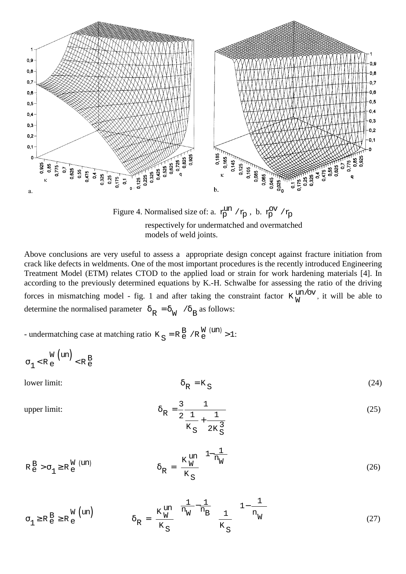

Figure 4. Normalised size of: a.  $r_{\rm p}^{\rm un}$  / $r_{\rm p}$ , b.  $r_{\rm p}^{\rm ov}$  / $r_{\rm p}$ respectively for undermatched and overmatched models of weld joints.

Above conclusions are very useful to assess a appropriate design concept against fracture initiation from crack like defects in weldments. One of the most important procedures is the recently introduced Engineering Treatment Model (ETM) relates CTOD to the applied load or strain for work hardening materials [4]. In according to the previously determined equations by K.-H. Schwalbe for assessing the ratio of the driving forces in mismatching model - fig. 1 and after taking the constraint factor  $K_W^{\text{un/ov}}$ , it will be able to determine the normalised parameter  $\delta_R = \delta_W / \delta_B$  as follows:

- undermatching case at matching ratio  $K_S = R_e^B / R_e^W$  (un) > 1:

$$
\sigma_1 < R_e^{\text{W}} \text{ (un)} < R_e^{\text{B}}
$$

lower limit: 
$$
\delta_{R} = K_{S}
$$
 (24)

upper limit:  $\delta$ 

$$
\delta_{R} = \frac{3}{2} \frac{1}{\frac{1}{K_{S}} + \frac{1}{2K_{S}^{3}}}
$$
(25)

$$
R_{e}^{B} > \sigma_{1} \ge R_{e}^{W \text{ (un)}} \qquad \delta_{R} = \left(\frac{K_{W}^{un}}{K_{S}}\right)^{\left(1 - \frac{1}{n_{W}}\right)} \tag{26}
$$

$$
\sigma_1 \ge R_e^B \ge R_e^W \text{ (un)} \qquad \qquad \delta_R = \left(\frac{K_W^{\text{un}}}{K_S}\right) \left(\frac{1}{n_W} - \frac{1}{n_B}\right) \left(\frac{1}{K_S}\right) \left(1 - \frac{1}{n_W}\right) \tag{27}
$$